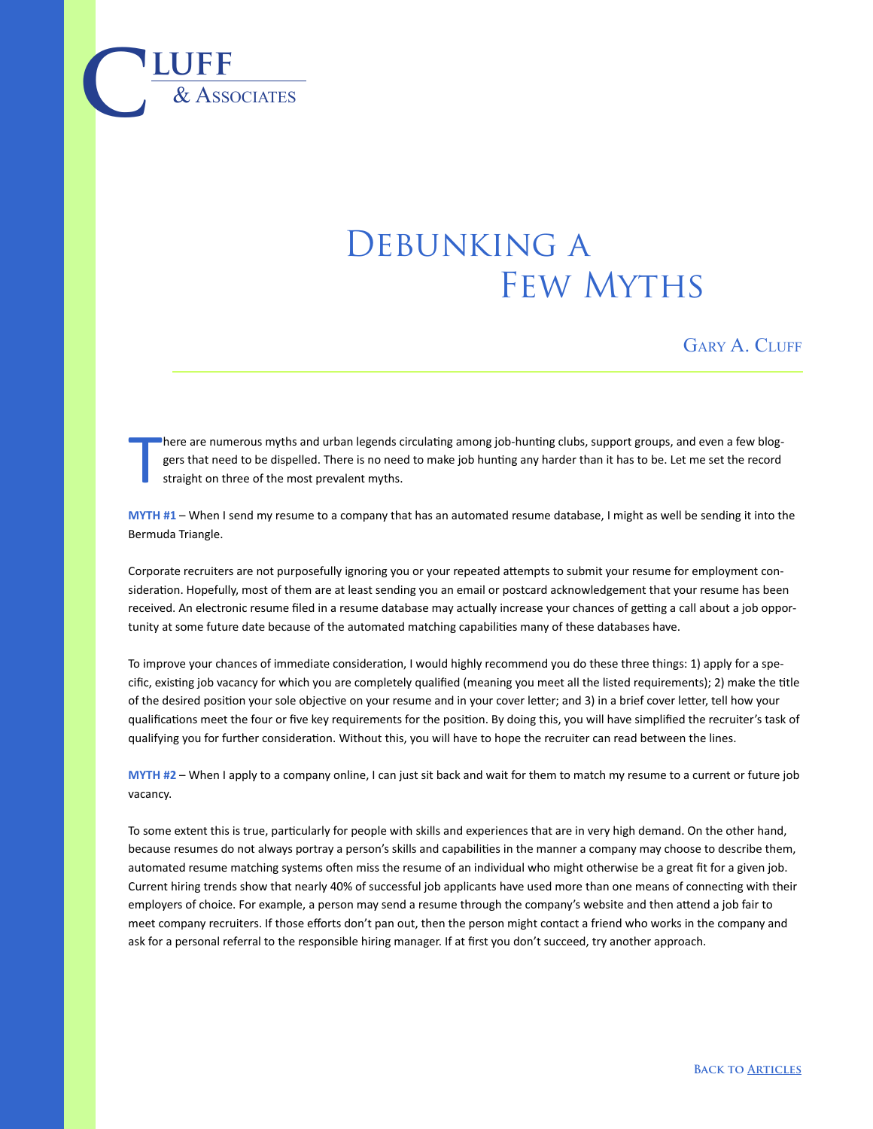

## DEBUNKING A Few Myths

GARY A. CLUFF

T here are numerous myths and urban legends circulating among job-hunting clubs, support groups, and even a few bloggers that need to be dispelled. There is no need to make job hunting any harder than it has to be. Let me set the record straight on three of the most prevalent myths.

**MYTH #1** – When I send my resume to a company that has an automated resume database, I might as well be sending it into the Bermuda Triangle.

Corporate recruiters are not purposefully ignoring you or your repeated attempts to submit your resume for employment consideration. Hopefully, most of them are at least sending you an email or postcard acknowledgement that your resume has been received. An electronic resume filed in a resume database may actually increase your chances of getting a call about a job opportunity at some future date because of the automated matching capabilities many of these databases have.

To improve your chances of immediate consideration, I would highly recommend you do these three things: 1) apply for a specific, existing job vacancy for which you are completely qualified (meaning you meet all the listed requirements); 2) make the title of the desired position your sole objective on your resume and in your cover letter; and 3) in a brief cover letter, tell how your qualifications meet the four or five key requirements for the position. By doing this, you will have simplified the recruiter's task of qualifying you for further consideration. Without this, you will have to hope the recruiter can read between the lines.

**MYTH #2** – When I apply to a company online, I can just sit back and wait for them to match my resume to a current or future job vacancy.

To some extent this is true, particularly for people with skills and experiences that are in very high demand. On the other hand, because resumes do not always portray a person's skills and capabilities in the manner a company may choose to describe them, automated resume matching systems often miss the resume of an individual who might otherwise be a great fit for a given job. Current hiring trends show that nearly 40% of successful job applicants have used more than one means of connecting with their employers of choice. For example, a person may send a resume through the company's website and then attend a job fair to meet company recruiters. If those efforts don't pan out, then the person might contact a friend who works in the company and ask for a personal referral to the responsible hiring manager. If at first you don't succeed, try another approach.